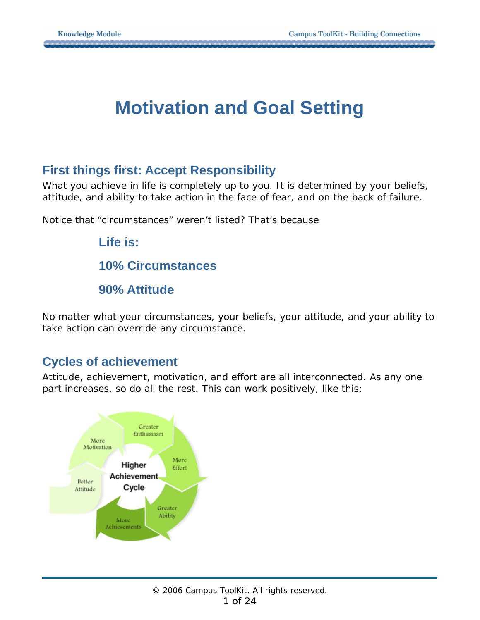# **Motivation and Goal Setting**

# **First things first: Accept Responsibility**

What you achieve in life is completely up to you. It is determined by your beliefs, attitude, and ability to take action in the face of fear, and on the back of failure.

Notice that "circumstances" weren't listed? That's because

**Life is: 10% Circumstances 90% Attitude** 

No matter what your circumstances, your beliefs, your attitude, and your ability to take action can override any circumstance.

## **Cycles of achievement**

Attitude, achievement, motivation, and effort are all interconnected. As any one part increases, so do all the rest. This can work positively, like this:

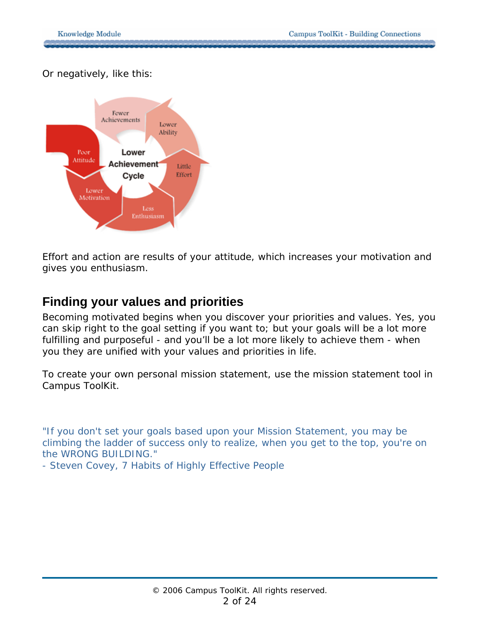Or negatively, like this:



Effort and action are results of your attitude, which increases your motivation and gives you enthusiasm.

# **Finding your values and priorities**

Becoming motivated begins when you discover your priorities and values. Yes, you can skip right to the goal setting if you want to; but your goals will be a lot more fulfilling and purposeful - and you'll be a lot more likely to achieve them - when you they are unified with your values and priorities in life.

To create your own personal mission statement, use the mission statement tool in Campus ToolKit.

*"If you don't set your goals based upon your Mission Statement, you may be climbing the ladder of success only to realize, when you get to the top, you're on the WRONG BUILDING."* 

*- Steven Covey, 7 Habits of Highly Effective People*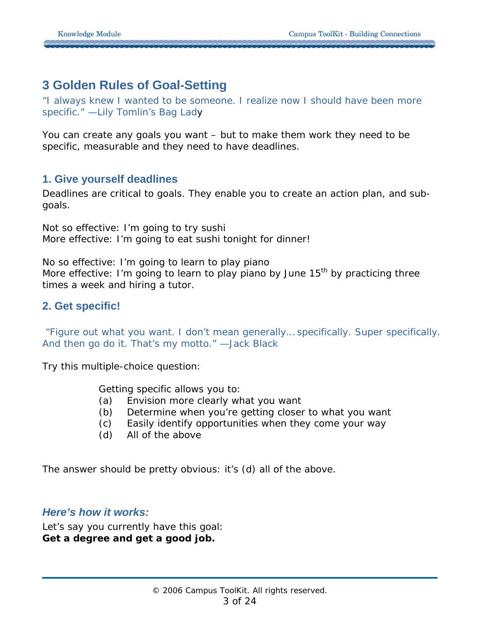# **3 Golden Rules of Goal-Setting**

*"I always knew I wanted to be someone. I realize now I should have been more specific." —Lily Tomlin's Bag Lad*y

You can create any goals you want – but to make them work they need to be specific, measurable and they need to have deadlines.

## **1. Give yourself deadlines**

Deadlines are critical to goals. They enable you to create an action plan, and subgoals.

Not so effective: I'm going to try sushi More effective: I'm going to eat sushi tonight for dinner!

No so effective: I'm going to learn to play piano More effective: I'm going to learn to play piano by June  $15<sup>th</sup>$  by practicing three times a week and hiring a tutor.

## **2. Get specific!**

 *"Figure out what you want. I don't mean generally… specifically. Super specifically. And then go do it. That's my motto." —Jack Black* 

Try this multiple-choice question:

Getting specific allows you to:

- (a) Envision more clearly what you want
- (b) Determine when you're getting closer to what you want
- (c) Easily identify opportunities when they come your way
- (d) All of the above

The answer should be pretty obvious: it's (d) all of the above.

## *Here's how it works:*

Let's say you currently have this goal: **Get a degree and get a good job.**